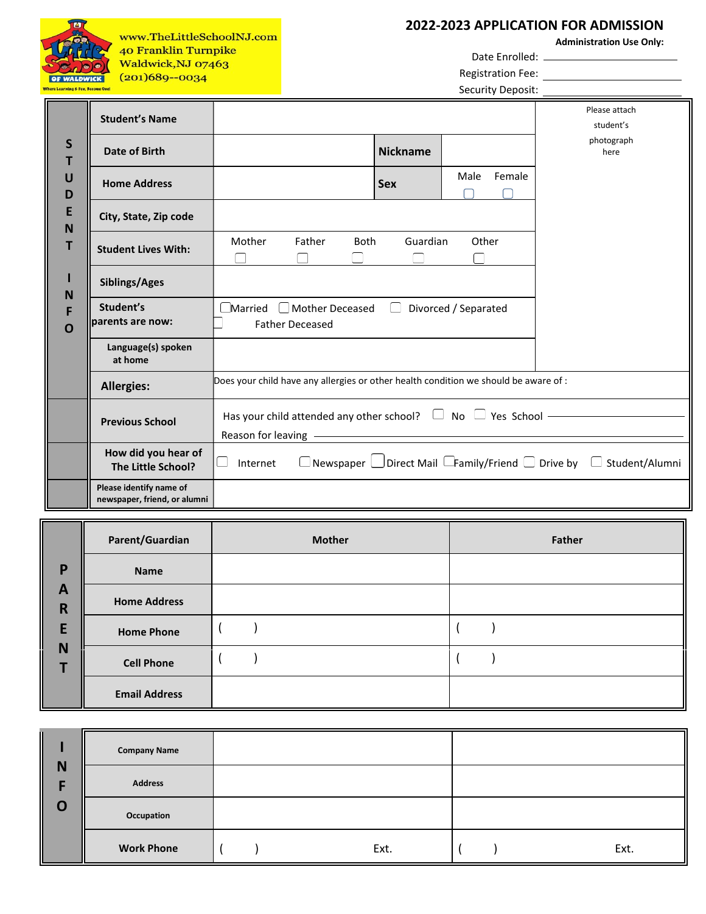|                                                       | www.TheLittleSchoolNJ.com<br>40 Franklin Turnpike<br>Waldwick, NJ 07463 |                                                                                               |                        |             |                 |                      | <b>Registration Fee:</b> | 2022-2023 APPLICATION FOR ADMISSION<br><b>Administration Use Only:</b>                         |
|-------------------------------------------------------|-------------------------------------------------------------------------|-----------------------------------------------------------------------------------------------|------------------------|-------------|-----------------|----------------------|--------------------------|------------------------------------------------------------------------------------------------|
| <b>OF WALDWIC</b><br>There Learning & Fun, Become One | $(201)689 - 0034$                                                       |                                                                                               |                        |             |                 |                      | Security Deposit:        |                                                                                                |
|                                                       | <b>Student's Name</b>                                                   |                                                                                               |                        |             |                 |                      |                          | Please attach<br>student's                                                                     |
| S<br>т                                                | <b>Date of Birth</b>                                                    |                                                                                               |                        |             | <b>Nickname</b> |                      |                          | photograph<br>here                                                                             |
| U<br>D                                                | <b>Home Address</b>                                                     |                                                                                               |                        |             | <b>Sex</b>      | Male                 | Female                   |                                                                                                |
| E<br>N                                                | City, State, Zip code                                                   |                                                                                               |                        |             |                 |                      |                          |                                                                                                |
| т                                                     | <b>Student Lives With:</b>                                              | Mother                                                                                        | Father                 | <b>Both</b> | Guardian        | Other                |                          |                                                                                                |
| N                                                     | Siblings/Ages                                                           |                                                                                               |                        |             |                 |                      |                          |                                                                                                |
| O                                                     | Student's<br>parents are now:                                           | $\Box$ Married $\Box$ Mother Deceased                                                         | <b>Father Deceased</b> |             |                 | Divorced / Separated |                          |                                                                                                |
|                                                       | Language(s) spoken<br>at home                                           |                                                                                               |                        |             |                 |                      |                          |                                                                                                |
|                                                       | <b>Allergies:</b>                                                       | Does your child have any allergies or other health condition we should be aware of :          |                        |             |                 |                      |                          |                                                                                                |
|                                                       | <b>Previous School</b>                                                  | Has your child attended any other school? $\Box$ No $\Box$ Yes School -<br>Reason for leaving |                        |             |                 |                      |                          |                                                                                                |
|                                                       | How did you hear of<br>The Little School?                               | Internet                                                                                      |                        |             |                 |                      |                          | $\Box$ Newspaper $\Box$ Direct Mail $\Box$ Family/Friend $\Box$ Drive by $\Box$ Student/Alumni |
|                                                       | Please identify name of<br>newspaper, friend, or alumni                 |                                                                                               |                        |             |                 |                      |                          |                                                                                                |

| P<br>$\mathbf{A}$<br>$\mathsf{R}$<br>Е<br>N | Parent/Guardian      | <b>Mother</b> | Father |
|---------------------------------------------|----------------------|---------------|--------|
|                                             | <b>Name</b>          |               |        |
|                                             | <b>Home Address</b>  |               |        |
|                                             | <b>Home Phone</b>    |               |        |
|                                             | <b>Cell Phone</b>    |               |        |
|                                             | <b>Email Address</b> |               |        |

÷.

|             | <b>Company Name</b> |      |      |
|-------------|---------------------|------|------|
| N           | <b>Address</b>      |      |      |
| $\mathbf 0$ | Occupation          |      |      |
|             | <b>Work Phone</b>   | Ext. | Ext. |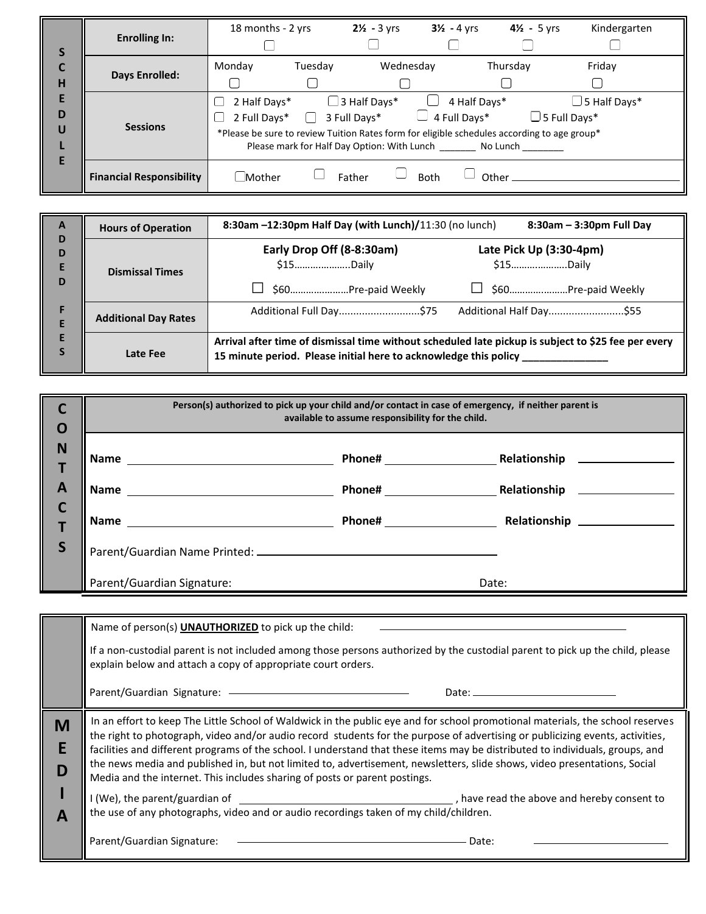| S<br>H<br>E<br>D<br>U | <b>Enrolling In:</b>            | 18 months - 2 yrs            |         | $2\frac{1}{2}$ - 3 yrs                                                                      | $3\frac{1}{2}$ - 4 yrs       | $4\frac{1}{2}$ - 5 yrs                                                                                             | Kindergarten        |
|-----------------------|---------------------------------|------------------------------|---------|---------------------------------------------------------------------------------------------|------------------------------|--------------------------------------------------------------------------------------------------------------------|---------------------|
|                       | Days Enrolled:                  | Monday                       | Tuesday | Wednesday                                                                                   |                              | Thursday                                                                                                           | Friday              |
|                       | <b>Sessions</b>                 | 2 Half Days*<br>2 Full Days* |         | $\Box$ 3 Half Days*<br>3 Full Days*<br>Please mark for Half Day Option: With Lunch No Lunch | 4 Half Days*<br>4 Full Days* | $\Box$ 5 Full Days*<br>*Please be sure to review Tuition Rates form for eligible schedules according to age group* | $\Box$ 5 Half Days* |
| E                     | <b>Financial Responsibility</b> | Mother                       |         | Father                                                                                      | <b>Both</b>                  | Other_                                                                                                             |                     |

| $\mathbf{A}$<br>D<br>D<br>E<br>D<br>E | <b>Hours of Operation</b>   | 8:30am $-12:30$ pm Half Day (with Lunch)/ $11:30$ (no lunch)<br>8:30am - 3:30pm Full Day                                                                                |  |  |  |
|---------------------------------------|-----------------------------|-------------------------------------------------------------------------------------------------------------------------------------------------------------------------|--|--|--|
|                                       | <b>Dismissal Times</b>      | Early Drop Off (8-8:30am)<br>Late Pick Up (3:30-4pm)<br>\$15Daily<br>\$15Daily<br>\$60Pre-paid Weekly                                                                   |  |  |  |
|                                       | <b>Additional Day Rates</b> | Additional Half Day\$55<br>Additional Full Day\$75                                                                                                                      |  |  |  |
|                                       | Late Fee                    | Arrival after time of dismissal time without scheduled late pickup is subject to \$25 fee per every<br>15 minute period. Please initial here to acknowledge this policy |  |  |  |

| $\mathbf 0$  | Person(s) authorized to pick up your child and/or contact in case of emergency, if neither parent is<br>available to assume responsibility for the child. |                          |              |  |
|--------------|-----------------------------------------------------------------------------------------------------------------------------------------------------------|--------------------------|--------------|--|
| N            | Name                                                                                                                                                      | <b>Phone#</b> Phone 2014 | Relationship |  |
| $\mathbf{A}$ | <b>Name</b>                                                                                                                                               | <b>Phone#</b>            | Relationship |  |
| C            | <b>Name</b>                                                                                                                                               |                          |              |  |
| ║<br>S       |                                                                                                                                                           |                          |              |  |
|              | Parent/Guardian Signature:                                                                                                                                |                          | Date:        |  |

|              | Name of person(s) <b>UNAUTHORIZED</b> to pick up the child:                                                                                                                                                                                                                                                                                                                                                                                                                                                                                                                                                 |  |  |  |
|--------------|-------------------------------------------------------------------------------------------------------------------------------------------------------------------------------------------------------------------------------------------------------------------------------------------------------------------------------------------------------------------------------------------------------------------------------------------------------------------------------------------------------------------------------------------------------------------------------------------------------------|--|--|--|
|              | If a non-custodial parent is not included among those persons authorized by the custodial parent to pick up the child, please<br>explain below and attach a copy of appropriate court orders.                                                                                                                                                                                                                                                                                                                                                                                                               |  |  |  |
|              | Parent/Guardian Signature: - - - - - - - - - -                                                                                                                                                                                                                                                                                                                                                                                                                                                                                                                                                              |  |  |  |
| M<br>D       | In an effort to keep The Little School of Waldwick in the public eye and for school promotional materials, the school reserves<br>the right to photograph, video and/or audio record students for the purpose of advertising or publicizing events, activities,<br>facilities and different programs of the school. I understand that these items may be distributed to individuals, groups, and<br>the news media and published in, but not limited to, advertisement, newsletters, slide shows, video presentations, Social<br>Media and the internet. This includes sharing of posts or parent postings. |  |  |  |
| $\mathbf{A}$ | I (We), the parent/guardian of <b>Exercise 2</b> is a set of the above and hereby consent to the above and hereby consent to<br>the use of any photographs, video and or audio recordings taken of my child/children.                                                                                                                                                                                                                                                                                                                                                                                       |  |  |  |
|              | Parent/Guardian Signature:<br>Date:                                                                                                                                                                                                                                                                                                                                                                                                                                                                                                                                                                         |  |  |  |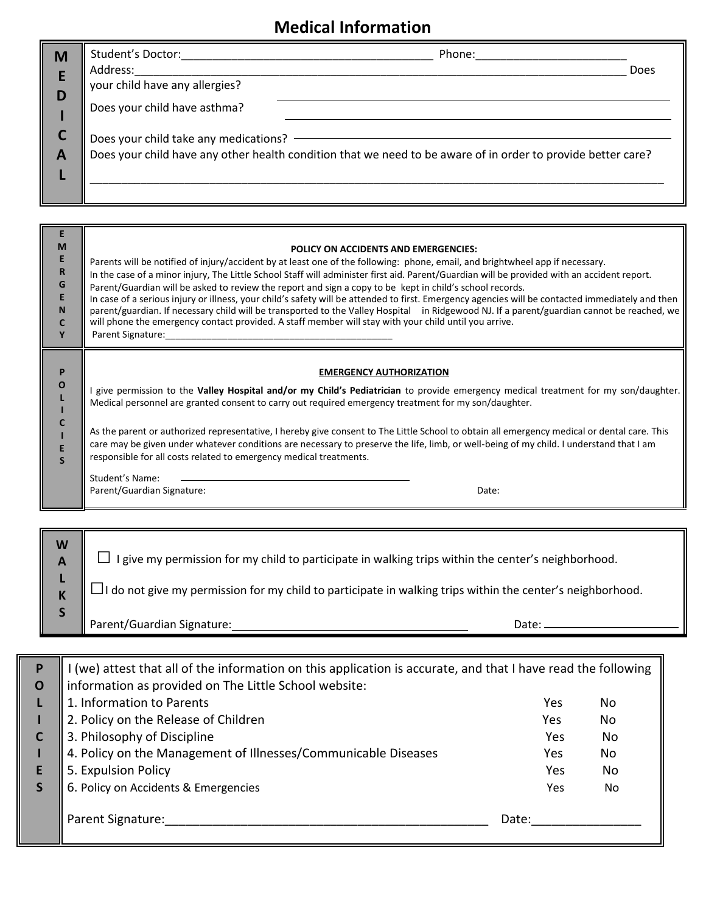## **Medical Information**

| M      | Student's Doctor:<br>Address:                                  | Phone:                                                                                                       | Does |
|--------|----------------------------------------------------------------|--------------------------------------------------------------------------------------------------------------|------|
| E<br>D | your child have any allergies?<br>Does your child have asthma? |                                                                                                              |      |
| A      | Does your child take any medications?                          | Does your child have any other health condition that we need to be aware of in order to provide better care? |      |

| M<br>Е<br>R<br>G<br>N  | POLICY ON ACCIDENTS AND EMERGENCIES:<br>Parents will be notified of injury/accident by at least one of the following: phone, email, and brightwheel app if necessary.<br>In the case of a minor injury, The Little School Staff will administer first aid. Parent/Guardian will be provided with an accident report.<br>Parent/Guardian will be asked to review the report and sign a copy to be kept in child's school records.<br>In case of a serious injury or illness, your child's safety will be attended to first. Emergency agencies will be contacted immediately and then<br>parent/guardian. If necessary child will be transported to the Valley Hospital in Ridgewood NJ. If a parent/guardian cannot be reached, we<br>will phone the emergency contact provided. A staff member will stay with your child until you arrive.<br>Parent Signature: |
|------------------------|------------------------------------------------------------------------------------------------------------------------------------------------------------------------------------------------------------------------------------------------------------------------------------------------------------------------------------------------------------------------------------------------------------------------------------------------------------------------------------------------------------------------------------------------------------------------------------------------------------------------------------------------------------------------------------------------------------------------------------------------------------------------------------------------------------------------------------------------------------------|
| P<br>O<br>$\mathbf{s}$ | <b>EMERGENCY AUTHORIZATION</b><br>give permission to the Valley Hospital and/or my Child's Pediatrician to provide emergency medical treatment for my son/daughter.<br>Medical personnel are granted consent to carry out required emergency treatment for my son/daughter.<br>As the parent or authorized representative, I hereby give consent to The Little School to obtain all emergency medical or dental care. This<br>care may be given under whatever conditions are necessary to preserve the life, limb, or well-being of my child. I understand that I am<br>responsible for all costs related to emergency medical treatments.<br>Student's Name:<br>Parent/Guardian Signature:<br>Date:                                                                                                                                                            |
| W                      |                                                                                                                                                                                                                                                                                                                                                                                                                                                                                                                                                                                                                                                                                                                                                                                                                                                                  |

 $\Box$  I give my permission for my child to participate in walking trips within the center's neighborhood.

 $\Box$ I do not give my permission for my child to participate in walking trips within the center's neighborhood.

Parent/Guardian Signature: Date:

**A L K S**

| P<br>$\mathbf 0$ | (we) attest that all of the information on this application is accurate, and that I have read the following<br>information as provided on The Little School website: |       |    |
|------------------|----------------------------------------------------------------------------------------------------------------------------------------------------------------------|-------|----|
|                  | 1. Information to Parents                                                                                                                                            | Yes   | No |
|                  | 2. Policy on the Release of Children                                                                                                                                 | Yes   | No |
|                  | 3. Philosophy of Discipline                                                                                                                                          | Yes   | No |
|                  | 4. Policy on the Management of Illnesses/Communicable Diseases                                                                                                       | Yes   | No |
|                  | 5. Expulsion Policy                                                                                                                                                  | Yes   | No |
|                  | 6. Policy on Accidents & Emergencies                                                                                                                                 | Yes   | No |
|                  | Parent Signature:                                                                                                                                                    | Date: |    |